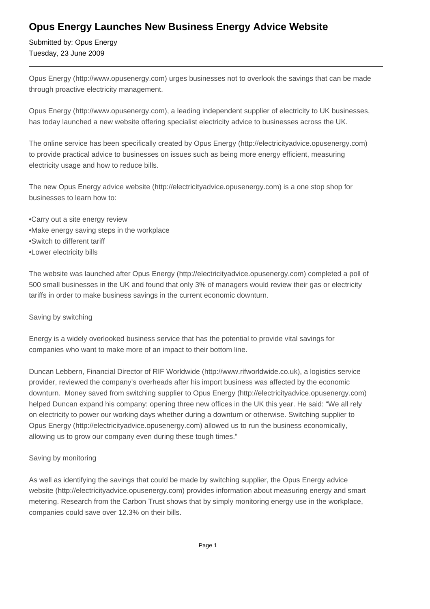## **Opus Energy Launches New Business Energy Advice Website**

Submitted by: Opus Energy Tuesday, 23 June 2009

Opus Energy (http://www.opusenergy.com) urges businesses not to overlook the savings that can be made through proactive electricity management.

Opus Energy (http://www.opusenergy.com), a leading independent supplier of electricity to UK businesses, has today launched a new website offering specialist electricity advice to businesses across the UK.

The online service has been specifically created by Opus Energy (http://electricityadvice.opusenergy.com) to provide practical advice to businesses on issues such as being more energy efficient, measuring electricity usage and how to reduce bills.

The new Opus Energy advice website (http://electricityadvice.opusenergy.com) is a one stop shop for businesses to learn how to:

- Carry out a site energy review
- Make energy saving steps in the workplace
- • Switch to different tariff
- • Lower electricity bills

The website was launched after Opus Energy (http://electricityadvice.opusenergy.com) completed a poll of 500 small businesses in the UK and found that only 3% of managers would review their gas or electricity tariffs in order to make business savings in the current economic downturn.

#### Saving by switching

Energy is a widely overlooked business service that has the potential to provide vital savings for companies who want to make more of an impact to their bottom line.

Duncan Lebbern, Financial Director of RIF Worldwide (http://www.rifworldwide.co.uk), a logistics service provider, reviewed the company's overheads after his import business was affected by the economic downturn. Money saved from switching supplier to Opus Energy (http://electricityadvice.opusenergy.com) helped Duncan expand his company: opening three new offices in the UK this year. He said: "We all rely on electricity to power our working days whether during a downturn or otherwise. Switching supplier to Opus Energy (http://electricityadvice.opusenergy.com) allowed us to run the business economically, allowing us to grow our company even during these tough times."

#### Saving by monitoring

As well as identifying the savings that could be made by switching supplier, the Opus Energy advice website (http://electricityadvice.opusenergy.com) provides information about measuring energy and smart metering. Research from the Carbon Trust shows that by simply monitoring energy use in the workplace, companies could save over 12.3% on their bills.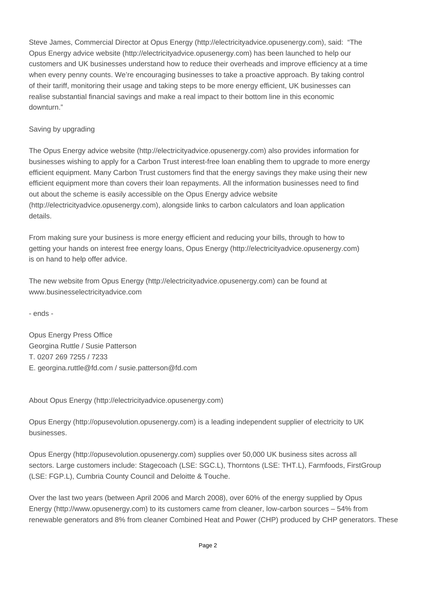Steve James, Commercial Director at Opus Energy (http://electricityadvice.opusenergy.com), said: "The Opus Energy advice website (http://electricityadvice.opusenergy.com) has been launched to help our customers and UK businesses understand how to reduce their overheads and improve efficiency at a time when every penny counts. We're encouraging businesses to take a proactive approach. By taking control of their tariff, monitoring their usage and taking steps to be more energy efficient, UK businesses can realise substantial financial savings and make a real impact to their bottom line in this economic downturn."

### Saving by upgrading

The Opus Energy advice website (http://electricityadvice.opusenergy.com) also provides information for businesses wishing to apply for a Carbon Trust interest-free loan enabling them to upgrade to more energy efficient equipment. Many Carbon Trust customers find that the energy savings they make using their new efficient equipment more than covers their loan repayments. All the information businesses need to find out about the scheme is easily accessible on the Opus Energy advice website (http://electricityadvice.opusenergy.com), alongside links to carbon calculators and loan application details.

From making sure your business is more energy efficient and reducing your bills, through to how to getting your hands on interest free energy loans, Opus Energy (http://electricityadvice.opusenergy.com) is on hand to help offer advice.

The new website from Opus Energy (http://electricityadvice.opusenergy.com) can be found at www.businesselectricityadvice.com

- ends -

Opus Energy Press Office Georgina Ruttle / Susie Patterson T. 0207 269 7255 / 7233 E. georgina.ruttle@fd.com / susie.patterson@fd.com

About Opus Energy (http://electricityadvice.opusenergy.com)

Opus Energy (http://opusevolution.opusenergy.com) is a leading independent supplier of electricity to UK businesses.

Opus Energy (http://opusevolution.opusenergy.com) supplies over 50,000 UK business sites across all sectors. Large customers include: Stagecoach (LSE: SGC.L), Thorntons (LSE: THT.L), Farmfoods, FirstGroup (LSE: FGP.L), Cumbria County Council and Deloitte & Touche.

Over the last two years (between April 2006 and March 2008), over 60% of the energy supplied by Opus Energy (http://www.opusenergy.com) to its customers came from cleaner, low-carbon sources – 54% from renewable generators and 8% from cleaner Combined Heat and Power (CHP) produced by CHP generators. These